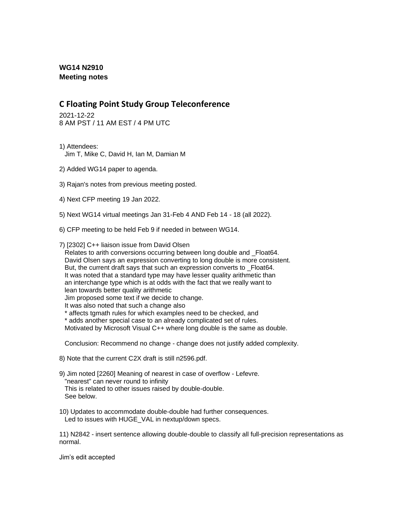## **WG14 N2910 Meeting notes**

## **C Floating Point Study Group Teleconference**

2021-12-22 8 AM PST / 11 AM EST / 4 PM UTC

- 1) Attendees: Jim T, Mike C, David H, Ian M, Damian M
- 2) Added WG14 paper to agenda.
- 3) Rajan's notes from previous meeting posted.
- 4) Next CFP meeting 19 Jan 2022.
- 5) Next WG14 virtual meetings Jan 31-Feb 4 AND Feb 14 18 (all 2022).
- 6) CFP meeting to be held Feb 9 if needed in between WG14.
- 7) [2302] C++ liaison issue from David Olsen

Relates to arith conversions occurring between long double and Float64. David Olsen says an expression converting to long double is more consistent. But, the current draft says that such an expression converts to Float64. It was noted that a standard type may have lesser quality arithmetic than an interchange type which is at odds with the fact that we really want to lean towards better quality arithmetic

Jim proposed some text if we decide to change.

- It was also noted that such a change also
- \* affects tgmath rules for which examples need to be checked, and
- \* adds another special case to an already complicated set of rules.

Motivated by Microsoft Visual C++ where long double is the same as double.

Conclusion: Recommend no change - change does not justify added complexity.

- 8) Note that the current C2X draft is still n2596.pdf.
- 9) Jim noted [2260] Meaning of nearest in case of overflow Lefevre. "nearest" can never round to infinity This is related to other issues raised by double-double. See below.
- 10) Updates to accommodate double-double had further consequences. Led to issues with HUGE\_VAL in nextup/down specs.

11) N2842 - insert sentence allowing double-double to classify all full-precision representations as normal.

Jim's edit accepted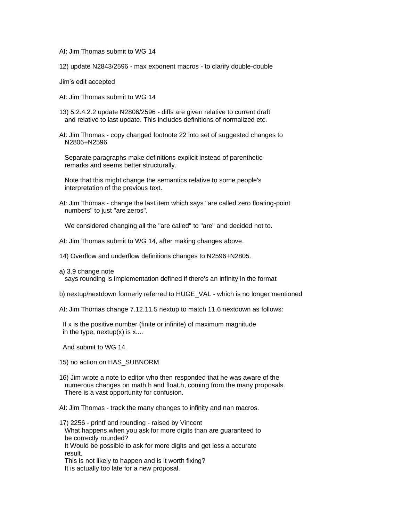AI: Jim Thomas submit to WG 14

12) update N2843/2596 - max exponent macros - to clarify double-double

Jim's edit accepted

- AI: Jim Thomas submit to WG 14
- 13) 5.2.4.2.2 update N2806/2596 diffs are given relative to current draft and relative to last update. This includes definitions of normalized etc.
- AI: Jim Thomas copy changed footnote 22 into set of suggested changes to N2806+N2596

Separate paragraphs make definitions explicit instead of parenthetic remarks and seems better structurally.

Note that this might change the semantics relative to some people's interpretation of the previous text.

AI: Jim Thomas - change the last item which says "are called zero floating-point numbers" to just "are zeros".

We considered changing all the "are called" to "are" and decided not to.

- AI: Jim Thomas submit to WG 14, after making changes above.
- 14) Overflow and underflow definitions changes to N2596+N2805.
- a) 3.9 change note says rounding is implementation defined if there's an infinity in the format
- b) nextup/nextdown formerly referred to HUGE\_VAL which is no longer mentioned
- AI: Jim Thomas change 7.12.11.5 nextup to match 11.6 nextdown as follows:

If x is the positive number (finite or infinite) of maximum magnitude in the type, nextup $(x)$  is  $x...$ 

And submit to WG 14.

- 15) no action on HAS\_SUBNORM
- 16) Jim wrote a note to editor who then responded that he was aware of the numerous changes on math.h and float.h, coming from the many proposals. There is a vast opportunity for confusion.

AI: Jim Thomas - track the many changes to infinity and nan macros.

17) 2256 - printf and rounding - raised by Vincent What happens when you ask for more digits than are guaranteed to be correctly rounded? It Would be possible to ask for more digits and get less a accurate result.

 This is not likely to happen and is it worth fixing? It is actually too late for a new proposal.